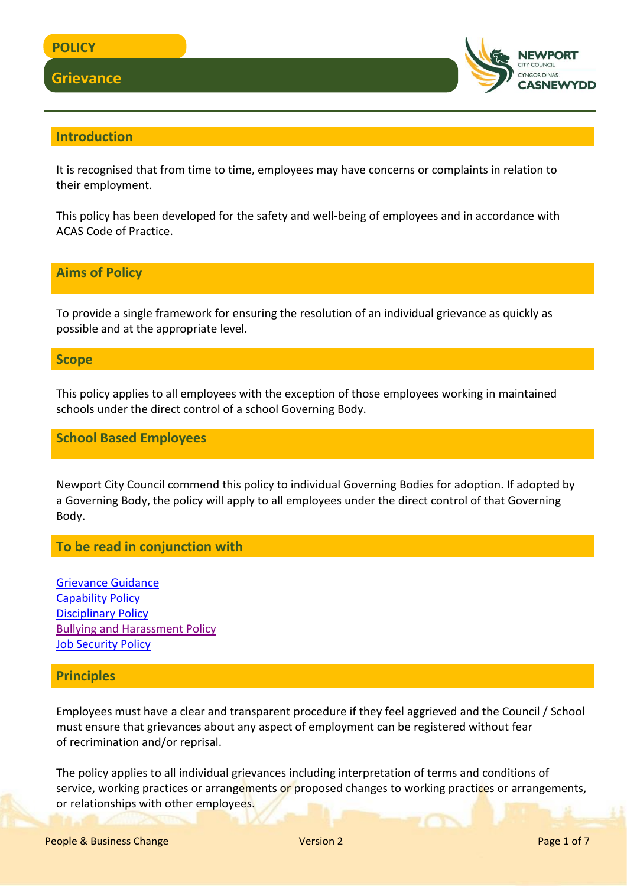## **Grievance**



## **Introduction**

It is recognised that from time to time, employees may have concerns or complaints in relation to their employment.

This policy has been developed for the safety and well-being of employees and in accordance with ACAS Code of Practice.

## **Aims of Policy**

To provide a single framework for ensuring the resolution of an individual grievance as quickly as possible and at the appropriate level.

#### **Scope**

This policy applies to all employees with the exception of those employees working in maintained schools under the direct control of a school Governing Body.

## **School Based Employees**

Newport City Council commend this policy to individual Governing Bodies for adoption. If adopted by a Governing Body, the policy will apply to all employees under the direct control of that Governing Body.

## **To be read in conjunction with**

[Grievance Guidance](http://www.newport.gov.uk/documents/Policies/HR-Grievance-Guidance.pdf) [Capability Policy](http://www.newport.gov.uk/documents/Policies/HR-Capability-Policy.pdf) [Disciplinary Policy](http://www.newport.gov.uk/documents/Policies/HR-Disciplinary-Policy.pdf) [Bullying and Harassment Policy](http://www.newport.gov.uk/documents/Policies/HR-Bullying-and-Harassment-Policy.pdf) [Job Security Policy](http://www.newport.gov.uk/documents/Policies/HR-Job-Security-Policy.pdf)

## **Principles**

Employees must have a clear and transparent procedure if they feel aggrieved and the Council / School must ensure that grievances about any aspect of employment can be registered without fear of recrimination and/or reprisal.

The policy applies to all individual grievances including interpretation of terms and conditions of service, working practices or arrangements or proposed changes to working practices or arrangements, or relationships with other employees.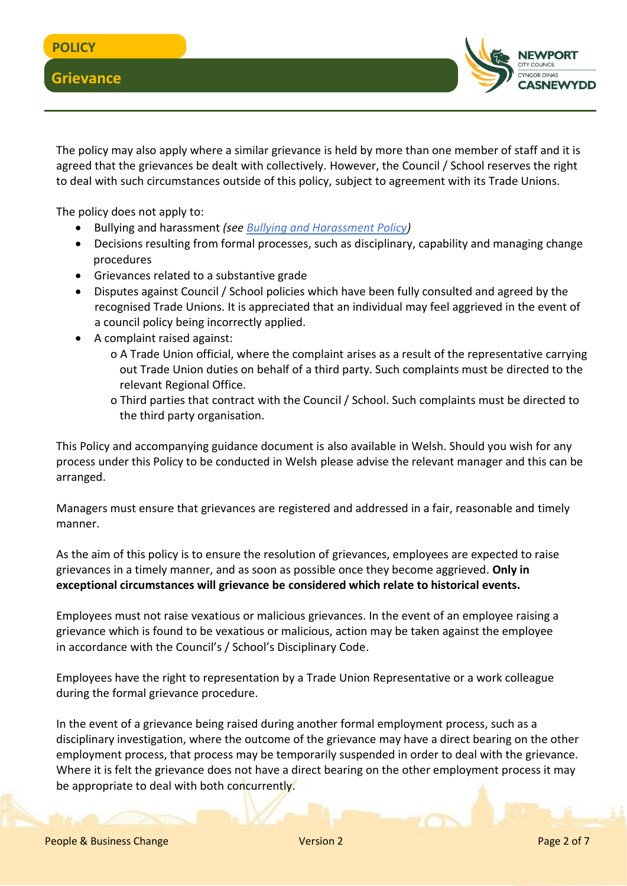**Grievance** 

The policy may also apply where a similar grievance is held by more than one member of staff and it is agreed that the grievances be dealt with collectively. However, the Council / School reserves the right to deal with such circumstances outside of this policy, subject to agreement with its Trade Unions.

The policy does not apply to:

- Bullying and harassment *(see Bullying and [Harassment Policy\)](http://www.newport.gov.uk/documents/Policies/HR-Bullying-and-Harassment-Policy.pdf)*
- Decisions resulting from formal processes, such as disciplinary, capability and managing change procedures
- Grievances related to a substantive grade
- Disputes against Council / School policies which have been fully consulted and agreed by the recognised Trade Unions. It is appreciated that an individual may feel aggrieved in the event of a council policy being incorrectly applied.
- A complaint raised against:
	- o A Trade Union official, where the complaint arises as a result of the representative carrying out Trade Union duties on behalf of a third party. Such complaints must be directed to the relevant Regional Office.
	- o Third parties that contract with the Council / School. Such complaints must be directed to the third party organisation.

This Policy and accompanying guidance document is also available in Welsh. Should you wish for any process under this Policy to be conducted in Welsh please advise the relevant manager and this can be arranged.

Managers must ensure that grievances are registered and addressed in a fair, reasonable and timely manner.

As the aim of this policy is to ensure the resolution of grievances, employees are expected to raise grievances in a timely manner, and as soon as possible once they become aggrieved. **Only in exceptional circumstances will grievance be considered which relate to historical events.**

Employees must not raise vexatious or malicious grievances. In the event of an employee raising a grievance which is found to be vexatious or malicious, action may be taken against the employee in accordance with the Council's / School's Disciplinary Code.

Employees have the right to representation by a Trade Union Representative or a work colleague during the formal grievance procedure.

In the event of a grievance being raised during another formal employment process, such as a disciplinary investigation, where the outcome of the grievance may have a direct bearing on the other employment process, that process may be temporarily suspended in order to deal with the grievance. Where it is felt the grievance does not have a direct bearing on the other employment process it may be appropriate to deal with both concurrently.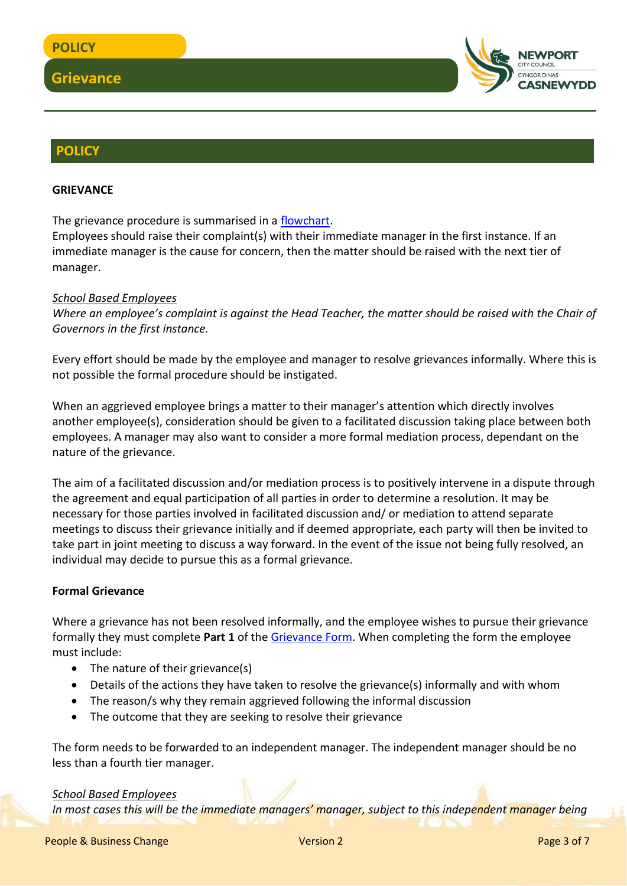

## **POLICY**

#### **GRIEVANCE**

The grievance procedure is summarised in a [flowchart.](http://www.newport.gov.uk/documents/Policies/HR-Grievance-Procedure-Flow-Chart.pdf)

Employees should raise their complaint(s) with their immediate manager in the first instance. If an immediate manager is the cause for concern, then the matter should be raised with the next tier of manager.

#### *School Based Employees*

*Where an employee's complaint is against the Head Teacher, the matter should be raised with the Chair of Governors in the first instance.*

Every effort should be made by the employee and manager to resolve grievances informally. Where this is not possible the formal procedure should be instigated.

When an aggrieved employee brings a matter to their manager's attention which directly involves another employee(s), consideration should be given to a facilitated discussion taking place between both employees. A manager may also want to consider a more formal mediation process, dependant on the nature of the grievance.

The aim of a facilitated discussion and/or mediation process is to positively intervene in a dispute through the agreement and equal participation of all parties in order to determine a resolution. It may be necessary for those parties involved in facilitated discussion and/ or mediation to attend separate meetings to discuss their grievance initially and if deemed appropriate, each party will then be invited to take part in joint meeting to discuss a way forward. In the event of the issue not being fully resolved, an individual may decide to pursue this as a formal grievance.

#### **Formal Grievance**

Where a grievance has not been resolved informally, and the employee wishes to pursue their grievance formally they must complete **Part 1** of the [Grievance Form.](file:///C:/Users/cercas/Documents/HR-Grievance-Form.docx) When completing the form the employee must include:

- The nature of their grievance(s)
- Details of the actions they have taken to resolve the grievance(s) informally and with whom
- The reason/s why they remain aggrieved following the informal discussion
- The outcome that they are seeking to resolve their grievance

The form needs to be forwarded to an independent manager. The independent manager should be no less than a fourth tier manager.

#### *School Based Employees*

*In most cases this will be the immediate managers' manager, subject to this independent manager being*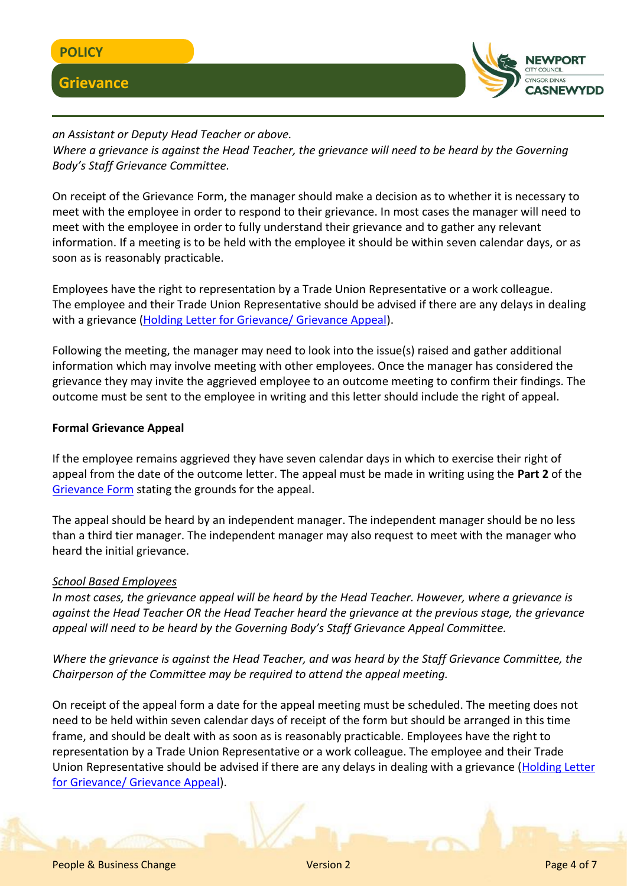

# **Grievance**



*an Assistant or Deputy Head Teacher or above. Where a grievance is against the Head Teacher, the grievance will need to be heard by the Governing Body's Staff Grievance Committee.*

On receipt of the Grievance Form, the manager should make a decision as to whether it is necessary to meet with the employee in order to respond to their grievance. In most cases the manager will need to meet with the employee in order to fully understand their grievance and to gather any relevant information. If a meeting is to be held with the employee it should be within seven calendar days, or as soon as is reasonably practicable.

Employees have the right to representation by a Trade Union Representative or a work colleague. The employee and their Trade Union Representative should be advised if there are any delays in dealing with a grievance [\(Holding Letter for Grievance/ Grievance Appeal\)](file:///C:/Users/cercas/Documents/HR-Holding-Letter-for-Grievance-or-Grievance-Appeal.docx).

Following the meeting, the manager may need to look into the issue(s) raised and gather additional information which may involve meeting with other employees. Once the manager has considered the grievance they may invite the aggrieved employee to an outcome meeting to confirm their findings. The outcome must be sent to the employee in writing and this letter should include the right of appeal.

## **Formal Grievance Appeal**

If the employee remains aggrieved they have seven calendar days in which to exercise their right of appeal from the date of the outcome letter. The appeal must be made in writing using the **Part 2** of the [Grievance](file:///C:/Users/cercas/Documents/HR-Grievance-Form.docx) Form stating the grounds for the appeal.

The appeal should be heard by an independent manager. The independent manager should be no less than a third tier manager. The independent manager may also request to meet with the manager who heard the initial grievance.

#### *School Based Employees*

*In most cases, the grievance appeal will be heard by the Head Teacher. However, where a grievance is against the Head Teacher OR the Head Teacher heard the grievance at the previous stage, the grievance appeal will need to be heard by the Governing Body's Staff Grievance Appeal Committee.*

*Where the grievance is against the Head Teacher, and was heard by the Staff Grievance Committee, the Chairperson of the Committee may be required to attend the appeal meeting.*

On receipt of the appeal form a date for the appeal meeting must be scheduled. The meeting does not need to be held within seven calendar days of receipt of the form but should be arranged in this time frame, and should be dealt with as soon as is reasonably practicable. Employees have the right to representation by a Trade Union Representative or a work colleague. The employee and their Trade Union Representative should be advised if there are any delays in dealing with a grievance [\(Holding Letter](file:///C:/Users/cercas/Documents/HR-Holding-Letter-for-Grievance-or-Grievance-Appeal.docx)  for [Grievance/ Grievance Appeal\)](file:///C:/Users/cercas/Documents/HR-Holding-Letter-for-Grievance-or-Grievance-Appeal.docx).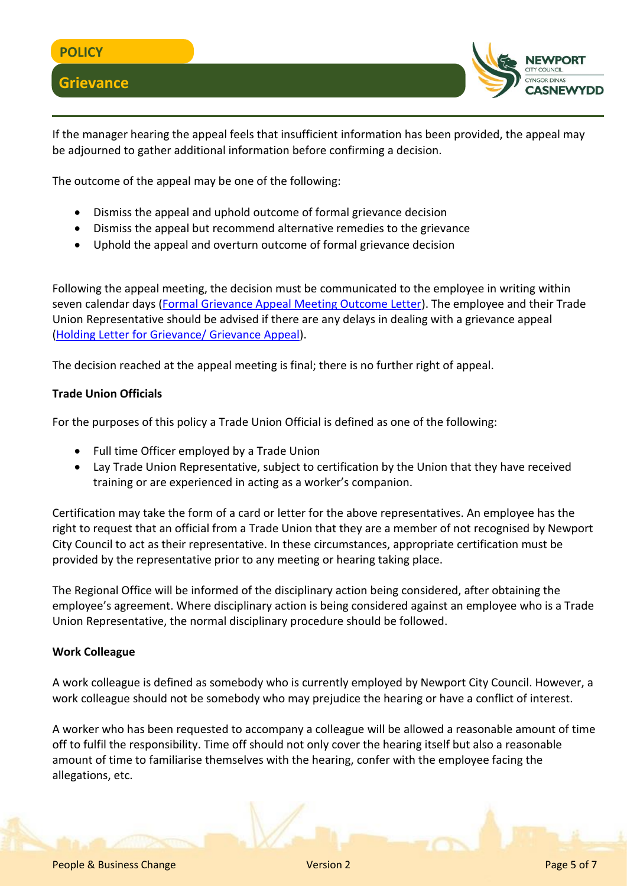

If the manager hearing the appeal feels that insufficient information has been provided, the appeal may be adjourned to gather additional information before confirming a decision.

The outcome of the appeal may be one of the following:

- Dismiss the appeal and uphold outcome of formal grievance decision
- Dismiss the appeal but recommend alternative remedies to the grievance
- Uphold the appeal and overturn outcome of formal grievance decision

Following the appeal meeting, the decision must be communicated to the employee in writing within seven calendar days [\(Formal Grievance Appeal Meeting Outcome Letter\)](file:///C:/Users/cercas/Documents/HR-Formal-Grievance-Appeal-Meeting-Outcome.docx). The employee and their Trade Union Representative should be advised if there are any delays in dealing with a grievance appeal (Holding Letter [for Grievance/ Grievance Appeal\)](file:///C:/Users/cercas/Documents/HR-Holding-Letter-for-Grievance-or-Grievance-Appeal.docx).

The decision reached at the appeal meeting is final; there is no further right of appeal.

## **Trade Union Officials**

For the purposes of this policy a Trade Union Official is defined as one of the following:

- Full time Officer employed by a Trade Union
- Lay Trade Union Representative, subject to certification by the Union that they have received training or are experienced in acting as a worker's companion.

Certification may take the form of a card or letter for the above representatives. An employee has the right to request that an official from a Trade Union that they are a member of not recognised by Newport City Council to act as their representative. In these circumstances, appropriate certification must be provided by the representative prior to any meeting or hearing taking place.

The Regional Office will be informed of the disciplinary action being considered, after obtaining the employee's agreement. Where disciplinary action is being considered against an employee who is a Trade Union Representative, the normal disciplinary procedure should be followed.

#### **Work Colleague**

A work colleague is defined as somebody who is currently employed by Newport City Council. However, a work colleague should not be somebody who may prejudice the hearing or have a conflict of interest.

A worker who has been requested to accompany a colleague will be allowed a reasonable amount of time off to fulfil the responsibility. Time off should not only cover the hearing itself but also a reasonable amount of time to familiarise themselves with the hearing, confer with the employee facing the allegations, etc.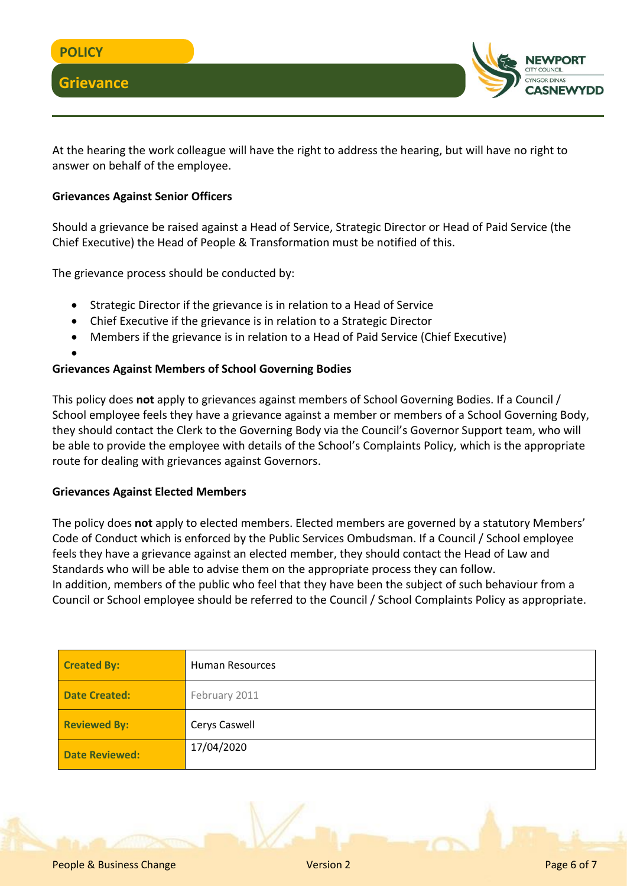

At the hearing the work colleague will have the right to address the hearing, but will have no right to answer on behalf of the employee.

## **Grievances Against Senior Officers**

Should a grievance be raised against a Head of Service, Strategic Director or Head of Paid Service (the Chief Executive) the Head of People & Transformation must be notified of this.

The grievance process should be conducted by:

- Strategic Director if the grievance is in relation to a Head of Service
- Chief Executive if the grievance is in relation to a Strategic Director
- Members if the grievance is in relation to a Head of Paid Service (Chief Executive)
- $\bullet$

## **Grievances Against Members of School Governing Bodies**

This policy does **not** apply to grievances against members of School Governing Bodies. If a Council / School employee feels they have a grievance against a member or members of a School Governing Body, they should contact the Clerk to the Governing Body via the Council's Governor Support team, who will be able to provide the employee with details of the School's Complaints Policy*,* which is the appropriate route for dealing with grievances against Governors.

#### **Grievances Against Elected Members**

The policy does **not** apply to elected members. Elected members are governed by a statutory Members' Code of Conduct which is enforced by the Public Services Ombudsman. If a Council / School employee feels they have a grievance against an elected member, they should contact the Head of Law and Standards who will be able to advise them on the appropriate process they can follow. In addition, members of the public who feel that they have been the subject of such behaviour from a Council or School employee should be referred to the Council / School Complaints Policy as appropriate.

| <b>Created By:</b>    | <b>Human Resources</b> |  |
|-----------------------|------------------------|--|
| <b>Date Created:</b>  | February 2011          |  |
| <b>Reviewed By:</b>   | Cerys Caswell          |  |
| <b>Date Reviewed:</b> | 17/04/2020             |  |

People & Business Change Version 2 Page 6 of 7